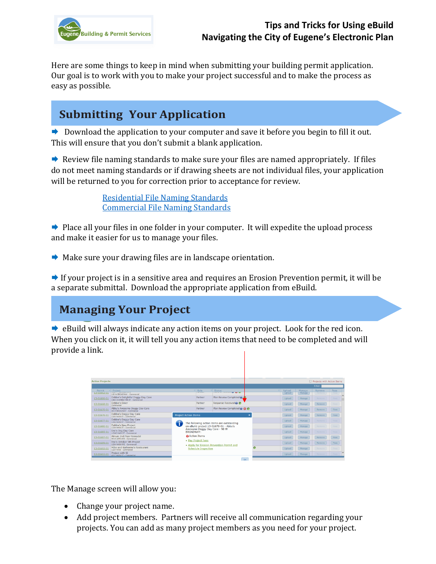

#### **Tips and Tricks for Using eBuild Navigating the City of Eugene's Electronic Plan**

Here are some things to keep in mind when submitting your building permit application. Our goal is to work with you to make your project successful and to make the process as easy as possible.

## **Submitting Your Application**

 $\rightarrow$  Download the application to your computer and save it before you begin to fill it out. This will ensure that you don't submit a blank application.

 $\rightarrow$  Review file naming standards to make sure your files are named appropriately. If files do not meet naming standards or if drawing sheets are not individual files, your application will be returned to you for correction prior to acceptance for review.

> [Residential File Naming Standards](https://www.eugene-or.gov/DocumentCenter/View/40602/Residential-File-Naming-Standards) Commercial File [Naming Standards](https://www.eugene-or.gov/DocumentCenter/View/42013/Commercial-File-Naming-Standards)

 $\rightarrow$  Place all your files in one folder in your computer. It will expedite the upload process and make it easier for us to manage your files.

**★ Make sure your drawing files are in landscape orientation.** 

 $\rightarrow$  If your project is in a sensitive area and requires an Erosion Prevention permit, it will be a separate submittal. Download the appropriate application from eBuild.

## **Managing Your Project**

 $\rightarrow$  eBuild will always indicate any action items on your project. Look for the red icon. When you click on it, it will tell you any action items that need to be completed and will provide a link.

| <b>Active Projects</b> |                                                                       |                             | Projects with Action Items                 |                                                                         |  |                         |                  |                  |      |
|------------------------|-----------------------------------------------------------------------|-----------------------------|--------------------------------------------|-------------------------------------------------------------------------|--|-------------------------|------------------|------------------|------|
|                        |                                                                       |                             |                                            |                                                                         |  |                         |                  | Filter:          |      |
| Permit<br>13-01662-01  | Project<br><b>Cronin recoverence</b>                                  |                             | $\circ$ Role<br><b>STATISTICS</b>          | <b>Status</b><br>THE R. P. LEWIS CO., LANSING MICH.                     |  | <b>Upload</b><br>Upload | Manage<br>Manage | Remove<br>Remove | Fees |
|                        | 100 W BROADWAY - Commercial                                           |                             |                                            |                                                                         |  |                         |                  |                  | Feed |
| $13-01666-01$          | Debbie's Delightful Doggy Day Care<br>1865 CHARNELTON ST - Commercial |                             | Partner                                    | Plan Review Completed                                                   |  | Upload                  | Manage           | Remove           | Fees |
| 13-01668-01            | Debbie's Diner<br>Commercial                                          |                             | Partner                                    | Response Received <b>O</b>                                              |  | Upload                  | Manage           | Remove           | Fees |
| 13-01670-01            | Abby's Awesome Doggy Day Care<br>98 W BROADWAY - Commercial           |                             | Partner                                    | Plan Review Completed @ @ @                                             |  | Upload                  | Manage           | Remove           | Fees |
| $13-01676-01$          | Debbie's Doggy Day Care<br>1234 MAIN ST - Commercial                  | <b>Project Action Items</b> |                                            |                                                                         |  | Upload                  | Manage           | Remove           | Foos |
| 13-01677-01            | Debbie's Doggy Day Care<br>1234 MAIN ST - Commercial                  |                             | The following action items are outstanding |                                                                         |  | Upload                  | Manage           | Remove           | Feed |
| 13-01680-01            | <b>Debbie's New Project</b><br>1234 MAIN ST - Commercial              |                             |                                            | on eBuild project 13-01670-01 - Abby's<br>Awesome Doggy Day Care - 98 W |  | Upload                  | Manage           | Remove           | Fees |
| 13-01685-01            | Eric's Dog Day Care<br>12345 MADLST - Commercial                      | <b>BROADWAY:</b>            |                                            |                                                                         |  | Upload                  | Manage           | Remove           | Fees |
| 13-01687-01            | Atrium 2nd Floor Remodel<br>99 W 10TH AVE - Commercial                |                             | Action Items                               |                                                                         |  | Upload                  | Manage           | Remove           | Fees |
| 13-01689-01            | Eric's October 9th Project<br>1234 MAIN AVE - Commercial              |                             | • Pay Project Fees                         | . Apply for Erosion Prevention Permit and                               |  | Upload                  | Manage           | Remove           | Foos |
| 13-01692-01            | Mike and Katharine's Restaurant<br>1234 MAIN - Commercial             |                             | <b>Schedule Inspection</b>                 |                                                                         |  | Upload                  | Manage           | Remove           | Fees |
| 13-01693-01            | Project with SI<br>4321 MAIN ST - Commercial                          |                             |                                            |                                                                         |  | Upload                  | Manage           | Remove           | Fees |

The Manage screen will allow you:

- Change your project name.
- Add project members. Partners will receive all communication regarding your projects. You can add as many project members as you need for your project.